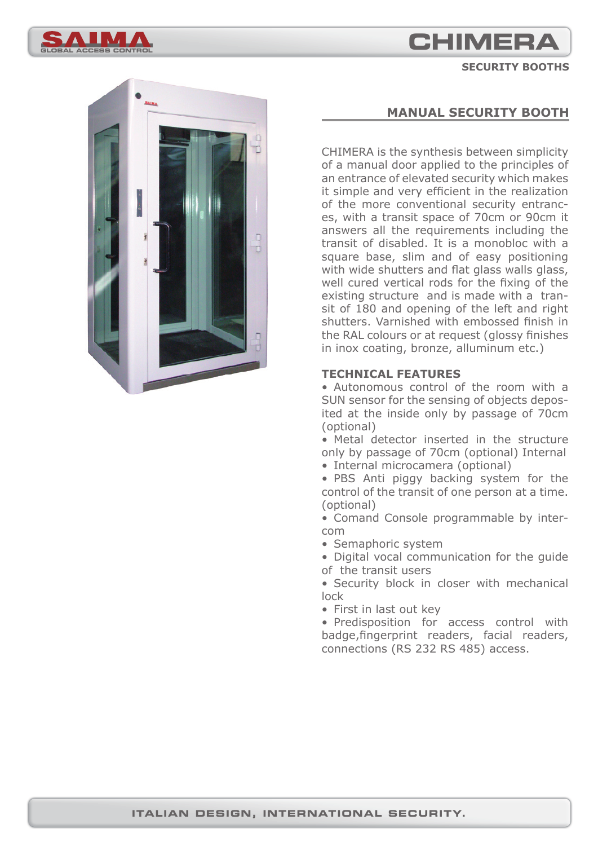# **CHIMERA**

**GLOBAL ACCESS CONTROL**

**SECURITY BOOTHS**



## **MANUAL SECURITY BOOTH**

CHIMERA is the synthesis between simplicity of a manual door applied to the principles of an entrance of elevated security which makes it simple and very efficient in the realization of the more conventional security entrances, with a transit space of 70cm or 90cm it answers all the requirements including the transit of disabled. It is a monobloc with a square base, slim and of easy positioning with wide shutters and flat glass walls glass, well cured vertical rods for the fixing of the existing structure and is made with a transit of 180 and opening of the left and right shutters. Varnished with embossed finish in the RAL colours or at request (glossy finishes in inox coating, bronze, alluminum etc.)

## **TECHNICAL FEATURES**

• Autonomous control of the room with a SUN sensor for the sensing of objects deposited at the inside only by passage of 70cm (optional)

• Metal detector inserted in the structure only by passage of 70cm (optional) Internal

• Internal microcamera (optional)

• PBS Anti piggy backing system for the control of the transit of one person at a time. (optional)

• Comand Console programmable by intercom

• Semaphoric system

• Digital vocal communication for the guide of the transit users

• Security block in closer with mechanical lock

• First in last out key

• Predisposition for access control with badge, fingerprint readers, facial readers, connections (RS 232 RS 485) access.